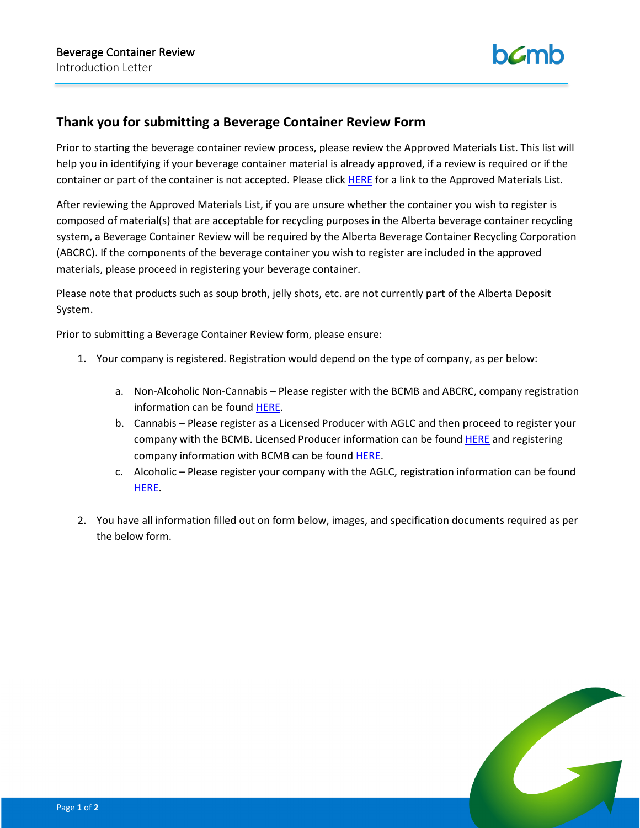

## **Thank you for submitting a Beverage Container Review Form**

Prior to starting the beverage container review process, please review the Approved Materials List. This list will help you in identifying if your beverage container material is already approved, if a review is required or if the container or part of the container is not accepted. Please click [HERE](https://www.bcmb.ab.ca/uploads/source/Manufacturers_and_Retailers/Approved_Materials/2020.02.05.BCMB.Non.Refillable.Approved.Materials.List.FINAL.pdf) for a link to the Approved Materials List.

After reviewing the Approved Materials List, if you are unsure whether the container you wish to register is composed of material(s) that are acceptable for recycling purposes in the Alberta beverage container recycling system, a Beverage Container Review will be required by the Alberta Beverage Container Recycling Corporation (ABCRC). If the components of the beverage container you wish to register are included in the approved materials, please proceed in registering your beverage container.

Please note that products such as soup broth, jelly shots, etc. are not currently part of the Alberta Deposit System.

Prior to submitting a Beverage Container Review form, please ensure:

- 1. Your company is registered. Registration would depend on the type of company, as per below:
	- a. Non-Alcoholic Non-Cannabis Please register with the BCMB and ABCRC, company registration information can be found [HERE.](https://www.bcmb.ab.ca/selling-distributing-beverages/registering-company/)
	- b. Cannabis Please register as a Licensed Producer with AGLC and then proceed to register your company with the BCMB. Licensed Producer information can be found [HERE](https://aglc.ca/cannabis/licensed-producers) and registering company information with BCMB can be foun[d HERE.](https://www.bcmb.ab.ca/selling-distributing-beverages/registering-company/)
	- c. Alcoholic Please register your company with the AGLC, registration information can be found [HERE.](https://aglc.ca/liquor)
- 2. You have all information filled out on form below, images, and specification documents required as per the below form.

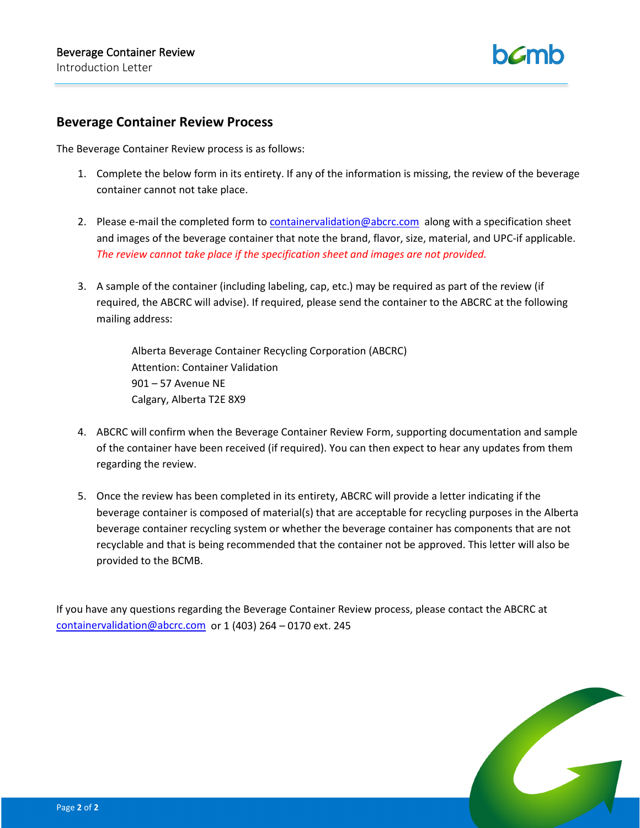

## **Beverage Container Review Process**

The Beverage Container Review process is as follows:

- 1. Complete the below form in its entirety. If any of the information is missing, the review of the beverage container cannot not take place.
- 2. Please e-mail the completed form to [containervalidation@abcrc.com](mailto:containervalidation@abcrc.com) along with a specification sheet and images of the beverage container that note the brand, flavor, size, material, and UPC-if applicable. *The review cannot take place if the specification sheet and images are not provided.*
- 3. A sample of the container (including labeling, cap, etc.) may be required as part of the review (if required, the ABCRC will advise). If required, please send the container to the ABCRC at the following mailing address:

Alberta Beverage Container Recycling Corporation (ABCRC) Attention: Container Validation 901 – 57 Avenue NE Calgary, Alberta T2E 8X9

- 4. ABCRC will confirm when the Beverage Container Review Form, supporting documentation and sample of the container have been received (if required). You can then expect to hear any updates from them regarding the review.
- 5. Once the review has been completed in its entirety, ABCRC will provide a letter indicating if the beverage container is composed of material(s) that are acceptable for recycling purposes in the Alberta beverage container recycling system or whether the beverage container has components that are not recyclable and that is being recommended that the container not be approved. This letter will also be provided to the BCMB.

If you have any questions regarding the Beverage Container Review process, please contact the ABCRC at [containervalidation@abcrc.com](mailto:containervalidation@abcrc.com) or 1 (403) 264 – 0170 ext. 245

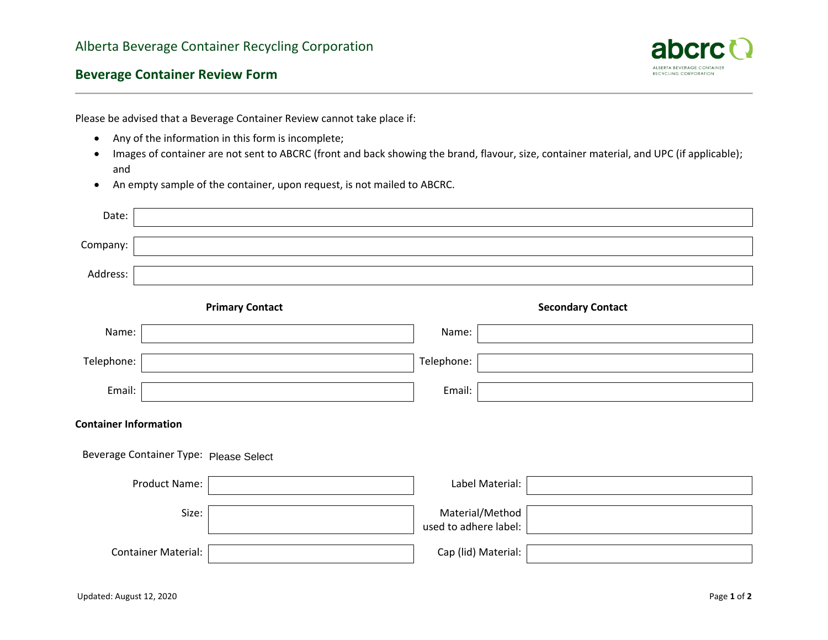

## **Beverage Container Review Form**

Please be advised that a Beverage Container Review cannot take place if:

- Any of the information in this form is incomplete;
- Images of container are not sent to ABCRC (front and back showing the brand, flavour, size, container material, and UPC (if applicable); and
- An empty sample of the container, upon request, is not mailed to ABCRC.

| Date:                                  |  |  |                                          |                          |  |  |  |
|----------------------------------------|--|--|------------------------------------------|--------------------------|--|--|--|
| Company:                               |  |  |                                          |                          |  |  |  |
| Address:                               |  |  |                                          |                          |  |  |  |
| <b>Primary Contact</b>                 |  |  |                                          | <b>Secondary Contact</b> |  |  |  |
| Name:                                  |  |  | Name:                                    |                          |  |  |  |
| Telephone:                             |  |  | Telephone:                               |                          |  |  |  |
| Email:                                 |  |  | Email:                                   |                          |  |  |  |
| <b>Container Information</b>           |  |  |                                          |                          |  |  |  |
| Beverage Container Type: Please Select |  |  |                                          |                          |  |  |  |
| Product Name:                          |  |  | Label Material:                          |                          |  |  |  |
| Size:                                  |  |  | Material/Method<br>used to adhere label: |                          |  |  |  |
| <b>Container Material:</b>             |  |  | Cap (lid) Material:                      |                          |  |  |  |